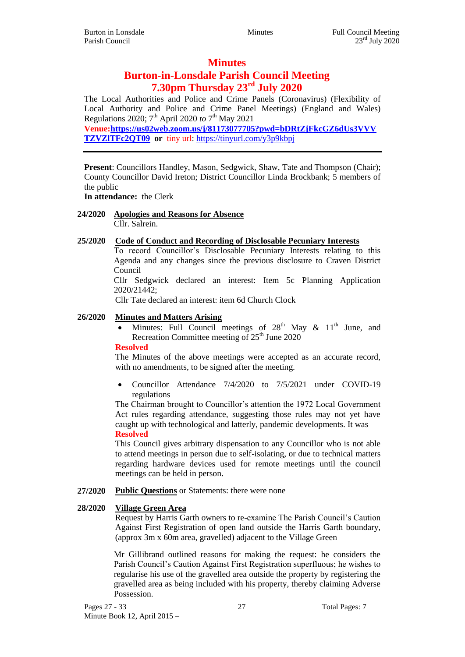## **Minutes**

# **Burton-in-Lonsdale Parish Council Meeting 7.30pm Thursday 23rd July 2020**

The Local Authorities and Police and Crime Panels (Coronavirus) (Flexibility of Local Authority and Police and Crime Panel Meetings) (England and Wales) Regulations 2020; 7<sup>th</sup> April 2020 *to* 7<sup>th</sup> May 2021

**Venue[:https://us02web.zoom.us/j/81173077705?pwd=bDRtZjFkcGZ6dUs3VVV](https://us02web.zoom.us/j/81173077705?pwd=bDRtZjFkcGZ6dUs3VVVTZVZlTFc2QT09) [TZVZlTFc2QT09](https://us02web.zoom.us/j/81173077705?pwd=bDRtZjFkcGZ6dUs3VVVTZVZlTFc2QT09) or** tiny url:<https://tinyurl.com/y3p9kbpj>

**Present**: Councillors Handley, Mason, Sedgwick, Shaw, Tate and Thompson (Chair); County Councillor David Ireton; District Councillor Linda Brockbank; 5 members of the public

**In attendance:** the Clerk

#### **24/2020 Apologies and Reasons for Absence** Cllr. Salrein.

#### **25/2020 Code of Conduct and Recording of Disclosable Pecuniary Interests**

To record Councillor's Disclosable Pecuniary Interests relating to this Agenda and any changes since the previous disclosure to Craven District Council

Cllr Sedgwick declared an interest: Item 5c Planning Application 2020/21442;

Cllr Tate declared an interest: item 6d Church Clock

#### **26/2020 Minutes and Matters Arising**

• Minutes: Full Council meetings of  $28<sup>th</sup>$  May &  $11<sup>th</sup>$  June, and Recreation Committee meeting of  $25<sup>th</sup>$  June 2020

#### **Resolved**

The Minutes of the above meetings were accepted as an accurate record, with no amendments, to be signed after the meeting.

 Councillor Attendance 7/4/2020 to 7/5/2021 under COVID-19 regulations

The Chairman brought to Councillor's attention the 1972 Local Government Act rules regarding attendance, suggesting those rules may not yet have caught up with technological and latterly, pandemic developments. It was **Resolved**

This Council gives arbitrary dispensation to any Councillor who is not able to attend meetings in person due to self-isolating, or due to technical matters regarding hardware devices used for remote meetings until the council meetings can be held in person.

**27/2020 Public Questions** or Statements: there were none

#### **28/2020 Village Green Area**

Request by Harris Garth owners to re-examine The Parish Council's Caution Against First Registration of open land outside the Harris Garth boundary, (approx 3m x 60m area, gravelled) adjacent to the Village Green

Mr Gillibrand outlined reasons for making the request: he considers the Parish Council's Caution Against First Registration superfluous; he wishes to regularise his use of the gravelled area outside the property by registering the gravelled area as being included with his property, thereby claiming Adverse Possession.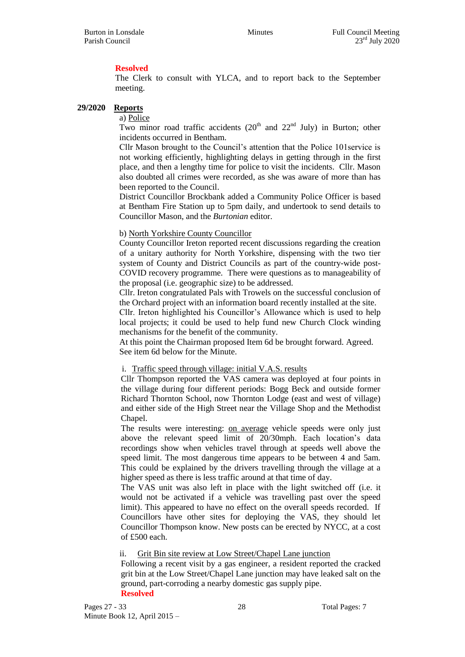## **Resolved**

The Clerk to consult with YLCA, and to report back to the September meeting.

#### **29/2020 Reports**

#### a) Police

Two minor road traffic accidents  $(20<sup>th</sup>$  and  $22<sup>nd</sup>$  July) in Burton; other incidents occurred in Bentham.

Cllr Mason brought to the Council's attention that the Police 101service is not working efficiently, highlighting delays in getting through in the first place, and then a lengthy time for police to visit the incidents. Cllr. Mason also doubted all crimes were recorded, as she was aware of more than has been reported to the Council.

District Councillor Brockbank added a Community Police Officer is based at Bentham Fire Station up to 5pm daily, and undertook to send details to Councillor Mason, and the *Burtonian* editor.

#### b) North Yorkshire County Councillor

County Councillor Ireton reported recent discussions regarding the creation of a unitary authority for North Yorkshire, dispensing with the two tier system of County and District Councils as part of the country-wide post-COVID recovery programme. There were questions as to manageability of the proposal (i.e. geographic size) to be addressed.

Cllr. Ireton congratulated Pals with Trowels on the successful conclusion of the Orchard project with an information board recently installed at the site.

Cllr. Ireton highlighted his Councillor's Allowance which is used to help local projects; it could be used to help fund new Church Clock winding mechanisms for the benefit of the community.

At this point the Chairman proposed Item 6d be brought forward. Agreed. See item 6d below for the Minute.

#### i. Traffic speed through village: initial V.A.S. results

Cllr Thompson reported the VAS camera was deployed at four points in the village during four different periods: Bogg Beck and outside former Richard Thornton School, now Thornton Lodge (east and west of village) and either side of the High Street near the Village Shop and the Methodist Chapel.

The results were interesting: on average vehicle speeds were only just above the relevant speed limit of 20/30mph. Each location's data recordings show when vehicles travel through at speeds well above the speed limit. The most dangerous time appears to be between 4 and 5am. This could be explained by the drivers travelling through the village at a higher speed as there is less traffic around at that time of day.

The VAS unit was also left in place with the light switched off (i.e. it would not be activated if a vehicle was travelling past over the speed limit). This appeared to have no effect on the overall speeds recorded. If Councillors have other sites for deploying the VAS, they should let Councillor Thompson know. New posts can be erected by NYCC, at a cost of £500 each.

#### ii. Grit Bin site review at Low Street/Chapel Lane junction

Following a recent visit by a gas engineer, a resident reported the cracked grit bin at the Low Street/Chapel Lane junction may have leaked salt on the ground, part-corroding a nearby domestic gas supply pipe.

#### **Resolved**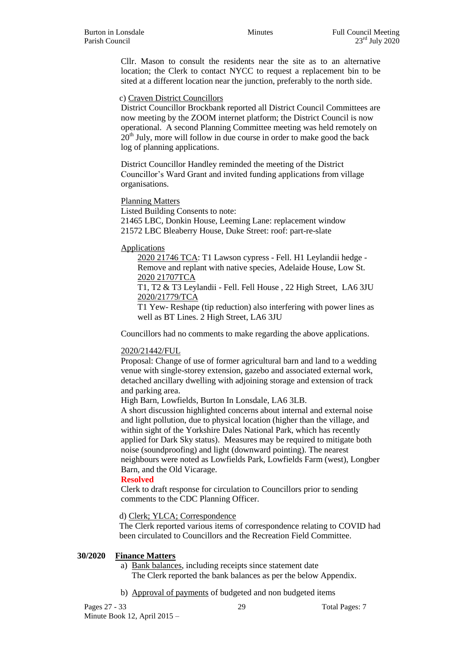Cllr. Mason to consult the residents near the site as to an alternative location; the Clerk to contact NYCC to request a replacement bin to be sited at a different location near the junction, preferably to the north side.

#### c) Craven District Councillors

District Councillor Brockbank reported all District Council Committees are now meeting by the ZOOM internet platform; the District Council is now operational. A second Planning Committee meeting was held remotely on  $20<sup>th</sup>$  July, more will follow in due course in order to make good the back log of planning applications.

District Councillor Handley reminded the meeting of the District Councillor's Ward Grant and invited funding applications from village organisations.

#### Planning Matters

Listed Building Consents to note: 21465 LBC, Donkin House, Leeming Lane: replacement window 21572 LBC Bleaberry House, Duke Street: roof: part-re-slate

## Applications

2020 21746 TCA: T1 Lawson cypress - Fell. H1 Leylandii hedge - Remove and replant with native species, Adelaide House, Low St. 2020 21707TCA

T1, T2 & T3 Leylandii - Fell. Fell House , 22 High Street, LA6 3JU 2020/21779/TCA

T1 Yew- Reshape (tip reduction) also interfering with power lines as well as BT Lines. 2 High Street, LA6 3JU

Councillors had no comments to make regarding the above applications.

#### 2020/21442/FUL

Proposal: Change of use of former agricultural barn and land to a wedding venue with single-storey extension, gazebo and associated external work, detached ancillary dwelling with adjoining storage and extension of track and parking area.

High Barn, Lowfields, Burton In Lonsdale, LA6 3LB.

A short discussion highlighted concerns about internal and external noise and light pollution, due to physical location (higher than the village, and within sight of the Yorkshire Dales National Park, which has recently applied for Dark Sky status). Measures may be required to mitigate both noise (soundproofing) and light (downward pointing). The nearest neighbours were noted as Lowfields Park, Lowfields Farm (west), Longber Barn, and the Old Vicarage.

#### **Resolved**

Clerk to draft response for circulation to Councillors prior to sending comments to the CDC Planning Officer.

d) Clerk; YLCA; Correspondence

The Clerk reported various items of correspondence relating to COVID had been circulated to Councillors and the Recreation Field Committee.

#### **30/2020 Finance Matters**

- a) Bank balances, including receipts since statement date The Clerk reported the bank balances as per the below Appendix.
- b) Approval of payments of budgeted and non budgeted items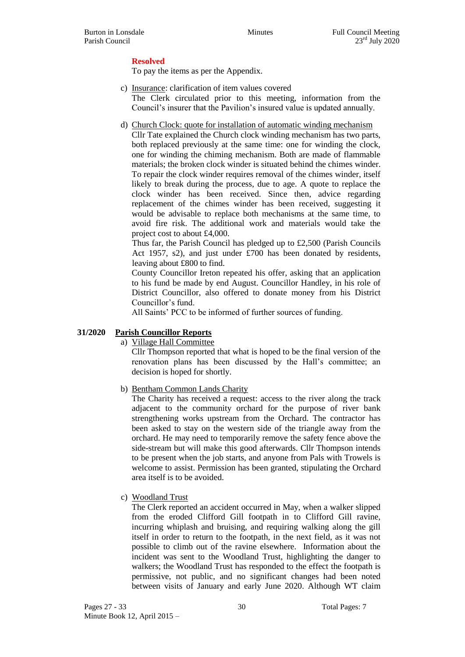# **Resolved**

To pay the items as per the Appendix.

c) Insurance: clarification of item values covered

The Clerk circulated prior to this meeting, information from the Council's insurer that the Pavilion's insured value is updated annually.

d) Church Clock: quote for installation of automatic winding mechanism

Cllr Tate explained the Church clock winding mechanism has two parts, both replaced previously at the same time: one for winding the clock, one for winding the chiming mechanism. Both are made of flammable materials; the broken clock winder is situated behind the chimes winder. To repair the clock winder requires removal of the chimes winder, itself likely to break during the process, due to age. A quote to replace the clock winder has been received. Since then, advice regarding replacement of the chimes winder has been received, suggesting it would be advisable to replace both mechanisms at the same time, to avoid fire risk. The additional work and materials would take the project cost to about £4,000.

Thus far, the Parish Council has pledged up to £2,500 (Parish Councils Act 1957, s2), and just under £700 has been donated by residents, leaving about £800 to find.

County Councillor Ireton repeated his offer, asking that an application to his fund be made by end August. Councillor Handley, in his role of District Councillor, also offered to donate money from his District Councillor's fund.

All Saints' PCC to be informed of further sources of funding.

## **31/2020 Parish Councillor Reports**

## a) Village Hall Committee

Cllr Thompson reported that what is hoped to be the final version of the renovation plans has been discussed by the Hall's committee; an decision is hoped for shortly.

b) Bentham Common Lands Charity

The Charity has received a request: access to the river along the track adjacent to the community orchard for the purpose of river bank strengthening works upstream from the Orchard. The contractor has been asked to stay on the western side of the triangle away from the orchard. He may need to temporarily remove the safety fence above the side-stream but will make this good afterwards. Cllr Thompson intends to be present when the job starts, and anyone from Pals with Trowels is welcome to assist. Permission has been granted, stipulating the Orchard area itself is to be avoided.

c) Woodland Trust

The Clerk reported an accident occurred in May, when a walker slipped from the eroded Clifford Gill footpath in to Clifford Gill ravine, incurring whiplash and bruising, and requiring walking along the gill itself in order to return to the footpath, in the next field, as it was not possible to climb out of the ravine elsewhere. Information about the incident was sent to the Woodland Trust, highlighting the danger to walkers; the Woodland Trust has responded to the effect the footpath is permissive, not public, and no significant changes had been noted between visits of January and early June 2020. Although WT claim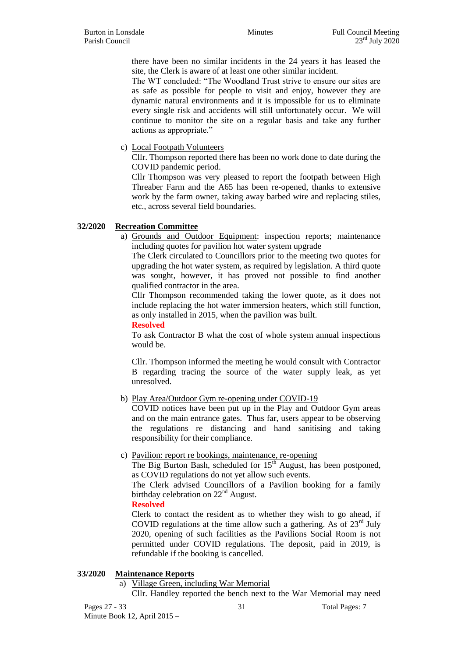there have been no similar incidents in the 24 years it has leased the site, the Clerk is aware of at least one other similar incident.

The WT concluded: "The Woodland Trust strive to ensure our sites are as safe as possible for people to visit and enjoy, however they are dynamic natural environments and it is impossible for us to eliminate every single risk and accidents will still unfortunately occur. We will continue to monitor the site on a regular basis and take any further actions as appropriate."

## c) Local Footpath Volunteers

Cllr. Thompson reported there has been no work done to date during the COVID pandemic period.

Cllr Thompson was very pleased to report the footpath between High Threaber Farm and the A65 has been re-opened, thanks to extensive work by the farm owner, taking away barbed wire and replacing stiles, etc., across several field boundaries.

#### **32/2020 Recreation Committee**

a) Grounds and Outdoor Equipment: inspection reports; maintenance including quotes for pavilion hot water system upgrade

The Clerk circulated to Councillors prior to the meeting two quotes for upgrading the hot water system, as required by legislation. A third quote was sought, however, it has proved not possible to find another qualified contractor in the area.

Cllr Thompson recommended taking the lower quote, as it does not include replacing the hot water immersion heaters, which still function, as only installed in 2015, when the pavilion was built.

#### **Resolved**

To ask Contractor B what the cost of whole system annual inspections would be.

Cllr. Thompson informed the meeting he would consult with Contractor B regarding tracing the source of the water supply leak, as yet unresolved.

#### b) Play Area/Outdoor Gym re-opening under COVID-19

COVID notices have been put up in the Play and Outdoor Gym areas and on the main entrance gates. Thus far, users appear to be observing the regulations re distancing and hand sanitising and taking responsibility for their compliance.

c) Pavilion: report re bookings, maintenance, re-opening

The Big Burton Bash, scheduled for 15<sup>th</sup> August, has been postponed, as COVID regulations do not yet allow such events.

The Clerk advised Councillors of a Pavilion booking for a family birthday celebration on  $22<sup>nd</sup>$  August.

#### **Resolved**

Clerk to contact the resident as to whether they wish to go ahead, if COVID regulations at the time allow such a gathering. As of  $23<sup>rd</sup>$  July 2020, opening of such facilities as the Pavilions Social Room is not permitted under COVID regulations. The deposit, paid in 2019, is refundable if the booking is cancelled.

#### **33/2020 Maintenance Reports**

a) Village Green, including War Memorial

Cllr. Handley reported the bench next to the War Memorial may need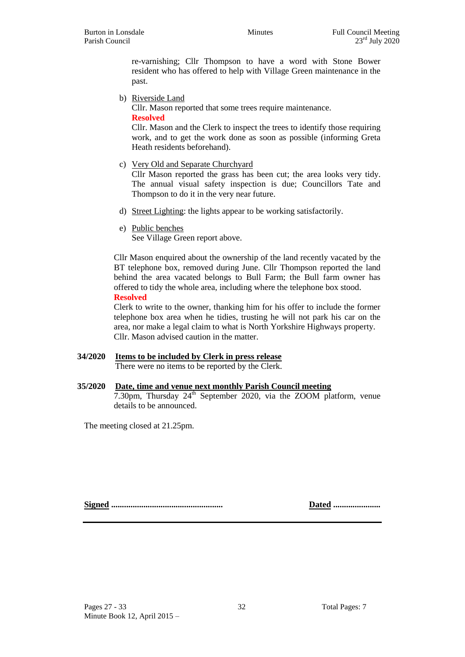re-varnishing; Cllr Thompson to have a word with Stone Bower resident who has offered to help with Village Green maintenance in the past.

b) Riverside Land

Cllr. Mason reported that some trees require maintenance. **Resolved**

Cllr. Mason and the Clerk to inspect the trees to identify those requiring work, and to get the work done as soon as possible (informing Greta Heath residents beforehand).

c) Very Old and Separate Churchyard

Cllr Mason reported the grass has been cut; the area looks very tidy. The annual visual safety inspection is due; Councillors Tate and Thompson to do it in the very near future.

- d) Street Lighting: the lights appear to be working satisfactorily.
- e) Public benches See Village Green report above.

Cllr Mason enquired about the ownership of the land recently vacated by the BT telephone box, removed during June. Cllr Thompson reported the land behind the area vacated belongs to Bull Farm; the Bull farm owner has offered to tidy the whole area, including where the telephone box stood. **Resolved**

Clerk to write to the owner, thanking him for his offer to include the former telephone box area when he tidies, trusting he will not park his car on the area, nor make a legal claim to what is North Yorkshire Highways property. Cllr. Mason advised caution in the matter.

# **34/2020 Items to be included by Clerk in press release**

There were no items to be reported by the Clerk.

## **35/2020 Date, time and venue next monthly Parish Council meeting**

7.30pm, Thursday  $24<sup>th</sup>$  September 2020, via the ZOOM platform, venue details to be announced.

The meeting closed at 21.25pm.

**Signed .................................................... Dated ......................**